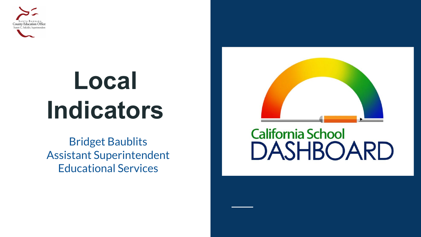

# **Local Indicators**

Bridget Baublits Assistant Superintendent Educational Services



#### **California School DASHBOARD**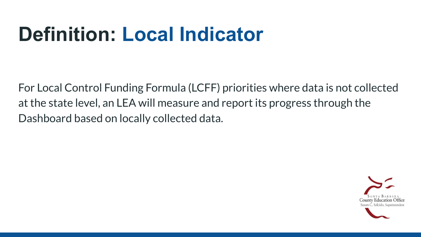## **Definition: Local Indicator**

For Local Control Funding Formula (LCFF) priorities where data is not collected at the state level, an LEA will measure and report its progress through the Dashboard based on locally collected data.

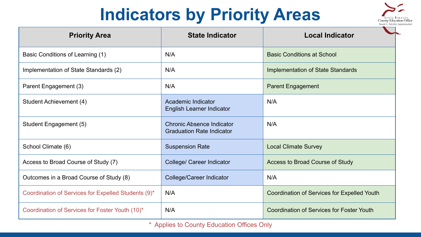## **Indicators by Priority Areas**



| <b>Priority Area</b>                                | <b>State Indicator</b>                                        | <b>Local Indicator</b>                           |  |
|-----------------------------------------------------|---------------------------------------------------------------|--------------------------------------------------|--|
| Basic Conditions of Learning (1)                    | N/A                                                           | <b>Basic Conditions at School</b>                |  |
| Implementation of State Standards (2)               | N/A                                                           | Implementation of State Standards                |  |
| Parent Engagement (3)                               | N/A                                                           | <b>Parent Engagement</b>                         |  |
| Student Achievement (4)                             | Academic Indicator<br>English Learner Indicator               | N/A                                              |  |
| Student Engagement (5)                              | Chronic Absence Indicator<br><b>Graduation Rate Indicator</b> | N/A                                              |  |
| School Climate (6)                                  | <b>Suspension Rate</b>                                        | <b>Local Climate Survey</b>                      |  |
| Access to Broad Course of Study (7)                 | College/ Career Indicator                                     | Access to Broad Course of Study                  |  |
| Outcomes in a Broad Course of Study (8)             | College/Career Indicator                                      | N/A                                              |  |
| Coordination of Services for Expelled Students (9)* | N/A                                                           | Coordination of Services for Expelled Youth      |  |
| Coordination of Services for Foster Youth (10)*     | N/A                                                           | <b>Coordination of Services for Foster Youth</b> |  |

\* Applies to County Education Offices Only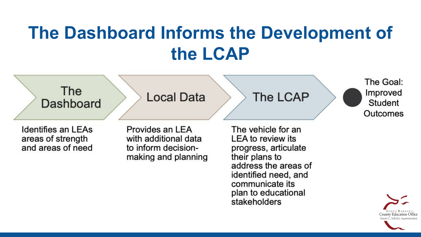## The Dashboard Informs the Development of the LCAP



Identifies an LEAs areas of strength and areas of need

Provides an LEA with additional data to inform decisionmaking and planning The vehicle for an LEA to review its progress, articulate their plans to address the areas of identified need, and communicate its plan to educational stakeholders

County Education Office iasan C. Salcido. Superintendent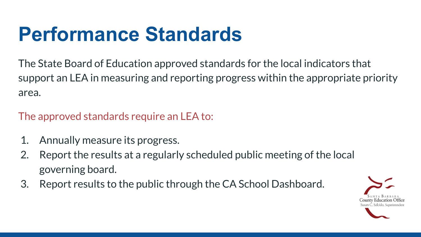# **Performance Standards**

The State Board of Education approved standards for the local indicators that support an LEA in measuring and reporting progress within the appropriate priority area.

The approved standards require an LEA to:

- 1. Annually measure its progress.
- 2. Report the results at a regularly scheduled public meeting of the local governing board.
- 3. Report results to the public through the CA School Dashboard.

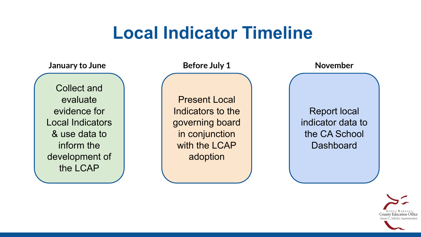#### **Local Indicator Timeline**

**January to June Before July 1** 

Collect and evaluate evidence for Local Indicators & use data to inform the development of the LCAP

Present Local Indicators to the governing board in conjunction with the LCAP adoption

| November            |  |  |  |  |
|---------------------|--|--|--|--|
|                     |  |  |  |  |
|                     |  |  |  |  |
|                     |  |  |  |  |
| <b>Report local</b> |  |  |  |  |
| indicator data to   |  |  |  |  |
| the CA School       |  |  |  |  |
| Dashboard           |  |  |  |  |
|                     |  |  |  |  |
|                     |  |  |  |  |
|                     |  |  |  |  |

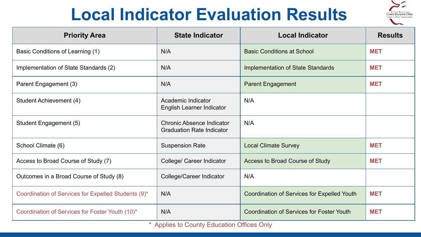#### **Local Indicator Evaluation Results**



| <b>Priority Area</b>                                | <b>State Indicator</b>                                        | <b>Local Indicator</b>                           | <b>Results</b> |
|-----------------------------------------------------|---------------------------------------------------------------|--------------------------------------------------|----------------|
| Basic Conditions of Learning (1)                    | N/A                                                           | <b>Basic Conditions at School</b>                | <b>MET</b>     |
| Implementation of State Standards (2)               | N/A                                                           | Implementation of State Standards                | MET            |
| Parent Engagement (3)                               | N/A                                                           | <b>Parent Engagement</b>                         | <b>MET</b>     |
| Student Achievement (4)                             | Academic Indicator<br>English Learner Indicator               | N/A                                              |                |
| Student Engagement (5)                              | Chronic Absence Indicator<br><b>Graduation Rate Indicator</b> | N/A                                              |                |
| School Climate (6)                                  | <b>Suspension Rate</b>                                        | <b>Local Climate Survey</b>                      | <b>MET</b>     |
| Access to Broad Course of Study (7)                 | College/ Career Indicator                                     | Access to Broad Course of Study                  | <b>MET</b>     |
| Outcomes in a Broad Course of Study (8)             | College/Career Indicator                                      | N/A                                              |                |
| Coordination of Services for Expelled Students (9)* | N/A                                                           | Coordination of Services for Expelled Youth      | <b>MET</b>     |
| Coordination of Services for Foster Youth (10)*     | N/A                                                           | <b>Coordination of Services for Foster Youth</b> | <b>MET</b>     |

\* Applies to County Education Offices Only